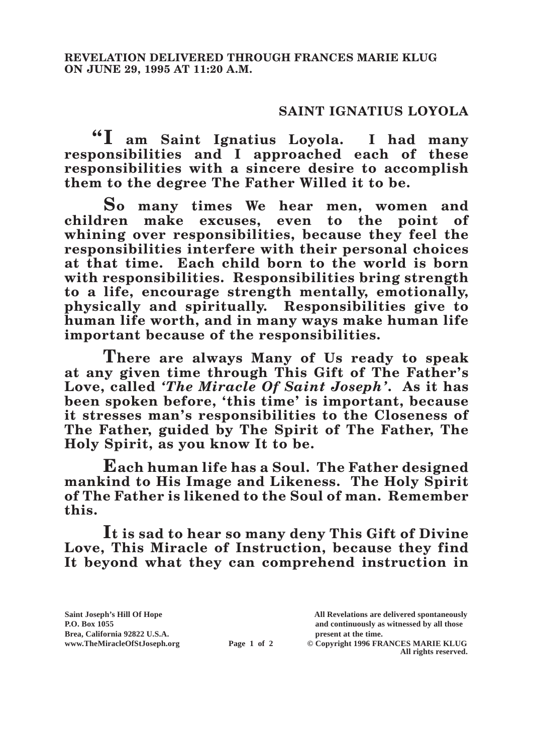## **SAINT IGNATIUS LOYOLA**

**"I am Saint Ignatius Loyola. I had many responsibilities and I approached each of these responsibilities with a sincere desire to accomplish them to the degree The Father Willed it to be.**

**So many times We hear men, women and children make excuses, even to the point of whining over responsibilities, because they feel the responsibilities interfere with their personal choices at that time. Each child born to the world is born with responsibilities. Responsibilities bring strength to a life, encourage strength mentally, emotionally, physically and spiritually. Responsibilities give to human life worth, and in many ways make human life important because of the responsibilities.**

**There are always Many of Us ready to speak at any given time through This Gift of The Father's Love, called** *'The Miracle Of Saint Joseph'***. As it has been spoken before, 'this time' is important, because it stresses man's responsibilities to the Closeness of The Father, guided by The Spirit of The Father, The Holy Spirit, as you know It to be.**

**Each human life has a Soul. The Father designed mankind to His Image and Likeness. The Holy Spirit of The Father is likened to the Soul of man. Remember this.**

**It is sad to hear so many deny This Gift of Divine Love, This Miracle of Instruction, because they find It beyond what they can comprehend instruction in** 

**Saint Joseph's Hill Of Hope All Revelations are delivered spontaneously P.O. Box 1055 and continuously as witnessed by all those Page 1 of 2** © Copyright 1996 FRANCES MARIE KLUG

**All rights reserved.**